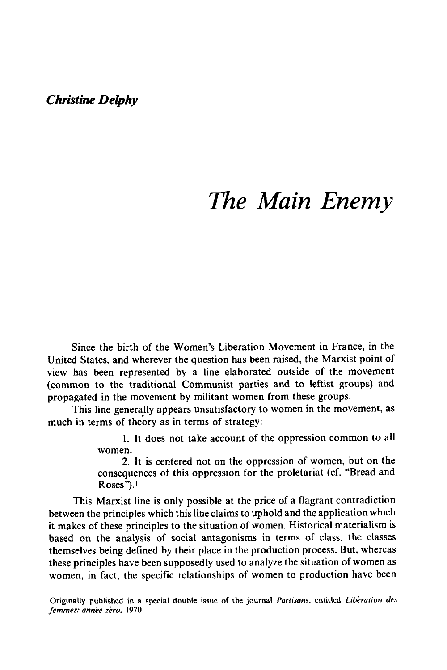## *Christine Delphy*

# *The Main Enemy*

Since the birth of the Women's Liberation Movement in France, in the United States, and wherever the question has been raised, the Marxist point of view has been represented by a line elaborated outside of the movement (common to the traditional Communist parties and to leftist groups) and propagated in the movement by militant women from these groups.

This line generally appears unsatisfactory to women in the movement, as much in terms of theory as in terms of strategy:

> 1. It does not take account of the oppression common to all women.

> 2. It is centered not on the oppression of women, but on the consequences of this oppression for the proletariat (cf. "Bread and Roses"). i

This Marxist line is only possible at the price of a flagrant contradiction between the principles which this line claims to uphold and the application which it makes of these principles to the situation of women. Historical materialism is based on the analysis of social antagonisms in terms of class, the classes themselves being defined by their place in the production process. But, whereas these principles have been supposedly used to analyze the situation of women as women, in fact, the specific relationships of women to production have been

Originally published in a special double issue of the journal *Partisans*, entitled Liberation des femmes: année zero, 1970.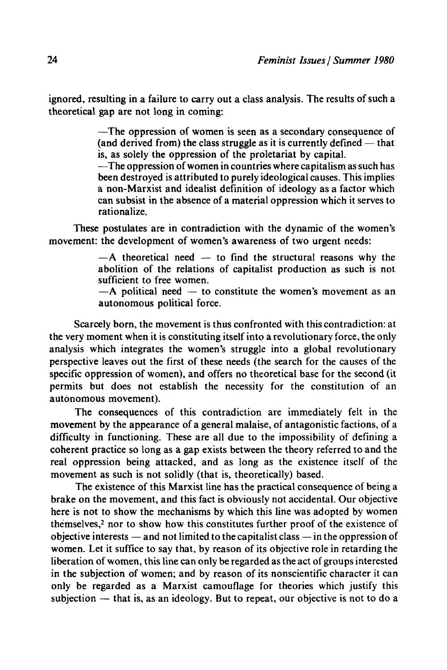ignored, resulting in a failure to carry out a class analysis. The results of such a theoretical gap are not long in coming:

> --The oppression of women is seen as a secondary consequence of (and derived from) the class struggle as it is currently defined  $-$  that is, as solely the oppression of the proletariat by capital.

> --The oppression of women in countries where capitalism as such has been destroyed is attributed to purely ideological causes. This implies a non-Marxist and idealist definition of ideology as a factor which can subsist in the absence of a material oppression which it serves to rationalize.

These postulates are in contradiction with the dynamic of the women's movement: the development of women's awareness of two urgent needs:

> $-A$  theoretical need  $-$  to find the structural reasons why the abolition of the relations of capitalist production as such is not sufficient to free women.

> $-A$  political need  $-$  to constitute the women's movement as an autonomous political force.

Scarcely born, the movement is thus confronted with this contradiction: at the very moment when it is constituting itself into a revolutionary force, the only analysis which integrates the women's struggle into a global revolutionary perspective leaves out the first of these needs (the search for the causes of the specific oppression of women), and offers no theoretical base for the second (it permits but does not establish the necessity for the constitution of an autonomous movement).

The consequences of this contradiction are immediately felt in the movement by the appearance of a general malaise, of antagonistic factions, of a difficulty in functioning. These are all due to the impossibility of defining a coherent practice so long as a gap exists between the theory referred to and the real oppression being attacked, and as long as the existence itself of the movement as such is not solidly (that is, theoretically) based.

The existence of this Marxist line has the practical consequence of being a brake on the movement, and this fact is obviously not accidental. Our objective here is not to show the mechanisms by which this line was adopted by women themselves,<sup>2</sup> nor to show how this constitutes further proof of the existence of objective interests — and not limited to the capitalist class — in the oppression of women. Let it suffice to say that, by reason of its objective role in retarding the liberation of women, this line can only be regarded as the act of groups interested in the subjection of women; and by reason of its nonscientific character it can only be regarded as a Marxist camouflage for theories which justify this subjection  $-$  that is, as an ideology. But to repeat, our objective is not to do a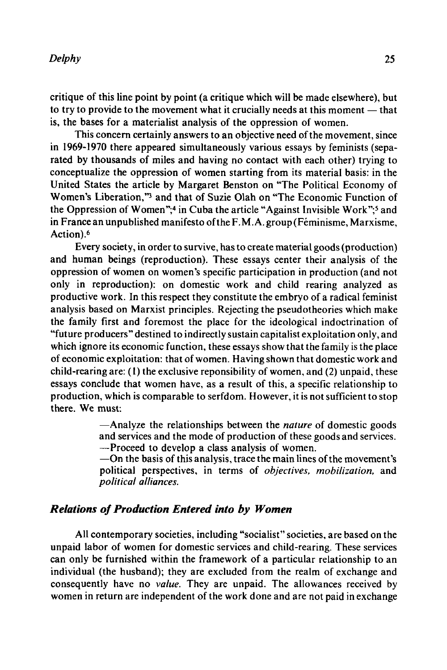critique of this line point by point (a critique which will be made elsewhere), but to try to provide to the movement what it crucially needs at this moment — that is, the bases for a materialist analysis of the oppression of women.

This concern certainly answers to an objective need of the movement, since in 1969-1970 there appeared simultaneously various essays by feminists (separated by thousands of miles and having no contact with each other) trying to conceptualize the oppression of women starting from its material basis: in the United States the article by Margaret Benston on "The Political Economy of Women's Liberation,"<sup>3</sup> and that of Suzie Olah on "The Economic Function of the Oppression of Women";<sup>4</sup> in Cuba the article "Against Invisible Work";<sup>5</sup> and in France an unpublished manifesto of the  $F.M.A.$  group (Féminisme, Marxisme, Action).<sup>6</sup>

Every society, in order to survive, has to create material goods (production) and human beings (reproduction). These essays center their analysis of the oppression of women on women's specific participation in production (and not only in reproduction): on domestic work and child rearing analyzed as productive work. In this respect they constitute the embryo of a radical feminist analysis based on Marxist principles. Rejecting the pseudotheories which make the family first and foremost the place for the ideological indoctrination of "future producers" destined to indirectly sustain capitalist exploitation only, and which ignore its economic function, these essays show that the family is the place of economic exploitation: that of women. Having shown that domestic work and child-rearing are: (1) the exclusive reponsibility of women, and (2) unpaid, these essays conclude that women have, as a result of this, a specific relationship to production, which is comparable to serfdom. However, it is not sufficient to stop there. We must:

> $-$ Analyze the relationships between the *nature* of domestic goods and services and the mode of production of these goods and services. --Proceed to develop a class analysis of women.

> -On the basis of this analysis, trace the main lines of the movement's political perspectives, in terms of *objectives, mobilization,* and *political alliances.*

## *Relations of Production Entered into by Women*

All contemporary societies, including "socialist" societies, are based on the unpaid labor of women for domestic services and child-rearing. These services can only be furnished within the framework of a particular relationship to an individual (the husband); they are excluded from the realm of exchange and consequently have no *value.* They are unpaid. The allowances received by women in return are independent of the work done and are not paid in exchange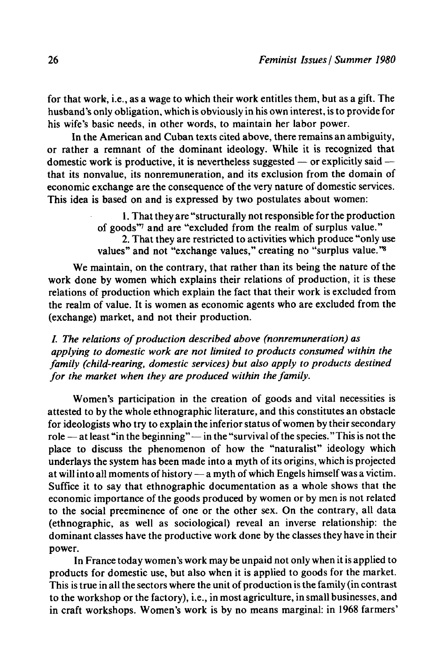for that work, i.e., as a wage to which their work entitles them, but as a gift. The husband's only obligation, which is obviously in his own interest, is to provide for his wife's basic needs, in other words, to maintain her labor power.

In the American and Cuban texts cited above, there remains an ambiguity, or rather a remnant of the dominant ideology. While it is recognized that domestic work is productive, it is nevertheless suggested  $-$  or explicitly said  $$ that its nonvalue, its nonremuneration, and its exclusion from the domain of economic exchange are the consequence of the very nature of domestic services. This idea is based on and is expressed by two postulates about women:

> 1. That they are"structurally not responsible for the production of goods" and are "excluded from the realm of surplus value." 2. That they are restricted to activities which produce "only use values" and not "exchange values," creating no "surplus value."<sup>8</sup>

We maintain, on the contrary, that rather than its being the nature of the work done by women which explains their relations of production, it is these relations of production which explain the fact that their work is excluded from the realm of value. It is women as economic agents who are excluded from the (exchange) market, and not their production.

*I. The relations of production described above (nonremuneration) as applying to domestic work are not limited to products consumed within the family (child-rearing, domestic services) but also apply to products destined for the market when they are produced within the family.* 

Women's participation in the creation of goods and vital necessities is attested to by the whole ethnographic literature, and this constitutes an obstacle for ideologists who try to explain the inferior status of women by their secondary role  $-$  at least "in the beginning" $-$  in the "survival of the species." This is not the place to discuss the phenomenon of how the "naturalist" ideology which underlays the system has been made into a myth of its origins, which is projected at will into all moments of history -- a myth of which Engels himself was a victim. Suffice it to say that ethnographic documentation as a whole shows that the economic importance of the goods produced by women or by men is not related to the social preeminence of one or the other sex. On the contrary, all data (ethnographic, as well as sociological) reveal an inverse relationship: the dominant classes have the productive work done by the classes they have in their power.

In France today women's work may be unpaid not only when it is applied to products for domestic use, but also when it is applied to goods for the market. This is true in all the sectors where the unit of production is the family (in contrast to the workshop or the factory), i.e., in most agriculture, in small businesses, and in craft workshops. Women's work is by no means marginal: in 1968 farmers'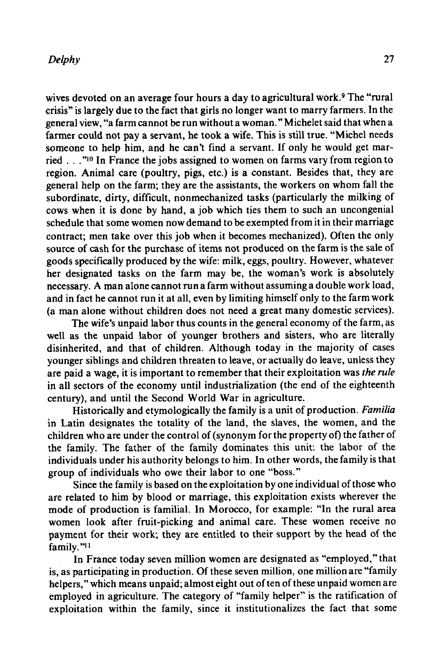wives devoted on an average four hours a day to agricultural work.<sup>9</sup> The "rural crisis" is largely due to the fact that girls no longer want to marry farmers. In the general view, "a farm cannot be run without a woman." Michelet said that when a farmer could not pay a servant, he took a wife. This is still true. "Michel needs someone to help him, and he can't find a servant. If only he would get married..."1° In France the jobs assigned to women on farms vary from region to region. Animal care (poultry, pigs, etc.) is a constant. Besides that, they are general help on the farm; they are the assistants, the workers on whom fall the subordinate, dirty, difficult, nonmechanized tasks (particularly the milking of cows when it is done by hand, a job which ties them to such an uncongenial schedule that some women now demand to be exempted from it in their marriage contract; men take over this job when it becomes mechanized). Often the only source of cash for the purchase of items not produced on the farm is the sale of goods specifically produced by the wife: milk, eggs, poultry. However, whatever her designated tasks on the farm may be, the woman's work is absolutely necessary. A man alone cannot run a farm without assuming a double work load, and in fact he cannot run it at all, even by limiting himself only to the farm work (a man alone without children does not need a great many domestic services).

The wife's unpaid labor thus counts in the general economy of the farm, as well as the unpaid labor of younger brothers and sisters, who are literally disinherited, and that of children. Although today in the majority of cases younger siblings and children threaten to leave, or actually do leave, unless they are paid a wage, it is important to remember that their exploitation was *the rule*  in all sectors of the economy until industrialization (the end of the eighteenth century), and until the Second World War in agriculture.

Historically and etymologically the family is a unit of production. *Familia*  in Latin designates the totality of the land, the slaves, the women, and the children who are under the control of (synonym for the property of) the father of the family. The father of the family dominates this unit: the labor of the individuals under his authority belongs to him. In other words, the family is that group of individuals who owe their labor to one "boss."

Since the family is based on the exploitation by one individual of those who are related to him by blood or marriage, this exploitation exists wherever the mode of production is familial. In Morocco, for example: "In the rural area women look after fruit-picking and animal care. These women receive no payment for their work; they are entitled to their support by the head of the family."<sup>11</sup>

In France today seven million women are designated as "employed," that is, as participating in production. Of these seven million, one million are "family helpers," which means unpaid; almost eight out of ten of these unpaid women are employed in agriculture. The category of "family helper" is the ratification of exploitation within the family, since it institutionalizes the fact that some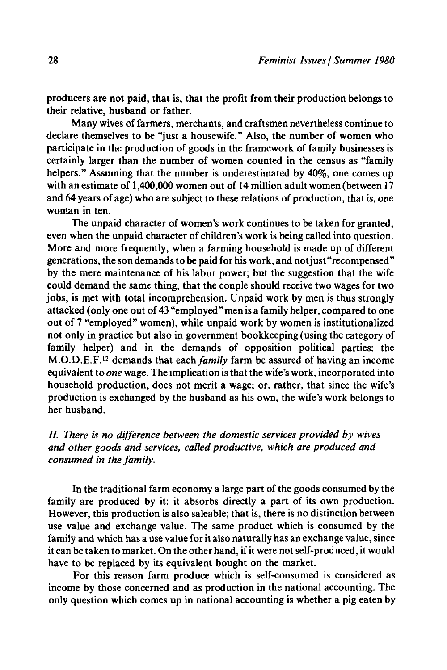producers are not paid, that is, that the profit from their production belongs to their relative, husband or father.

Many wives of farmers, merchants, and craftsmen nevertheless continue to declare themselves to be "just a housewife." Also, the number of women who participate in the production of goods in the framework of family businesses is certainly larger than the number of women counted in the census as "family helpers." Assuming that the number is underestimated by 40%, one comes up with an estimate of 1,400,000 women out of 14 million adult women (between 17 and 64 years of age) who are subject to these relations of production, that is, one woman in ten.

The unpaid character of women's work continues to be taken for granted, even when the unpaid character of children's work is being called into question. More and more frequently, when a farming household is made up of different generations, the son demands to be paid for his work, and notjust"recompensed" by the mere maintenance of his labor power; but the suggestion that the wife could demand the same thing, that the couple should receive two wages for two jobs, is met with total incomprehension. Unpaid work by men is thus strongly attacked (only one out of 43 "employed" men is a family helper, compared to one out of 7 "employed" women), while unpaid work by women is institutionalized not only in practice but also in government bookkeeping (using the category of family helper) and in the demands of opposition political parties: the M.O.D.E.F. 12 demands that *each family* farm be assured of having an income equivalent to *one* wage. The implication is that the wife's work, incorporated fnto household production, does not merit a wage; or, rather, that since the wife's production is exchanged by the husband as his own, the wife's work belongs to her husband.

## *11. There is no difference between the domestic services provided by wives and other goods and services, called productive, which are produced and consumed in the family.*

In the traditional farm economy a large part of the goods consumed by the family are produced by it: it absorbs directly a part of its own production. However, this production is also saleable; that is, there is no distinction between use value and exchange value. The same product which is consumed by the family and which has a use value for it also naturally has an exchange value, since it can be taken to market. On the other hand, if it were not self-produced, it would have to be replaced by its equivalent bought on the market.

For this reason farm produce which is self-consumed is considered as income by those concerned and as production in the national accounting. The only question which comes up in national accounting is whether a pig eaten by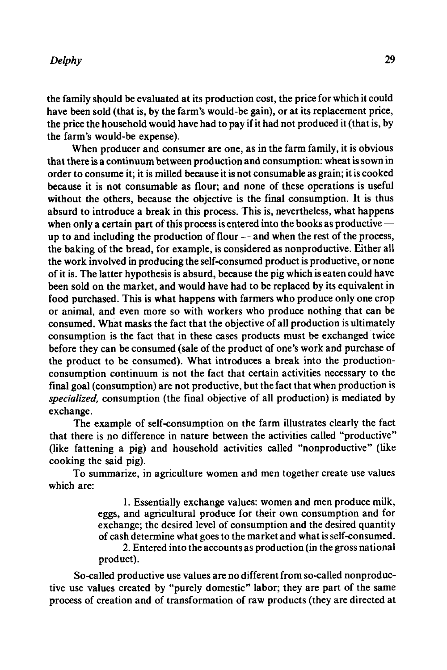the family should be evaluated at its production cost, the price for which it could have been sold (that is, by the farm's would-be gain), or at its replacement price, the price the household would have had to pay if it had not produced it (that is, by the farm's would-be expense).

When producer and consumer are one, as in the farm family, it is obvious that there is a continuum between production and consumption: wheat is sown in order to consume it; it is milled because it is not consumable as grain; it is cooked because it is not consumable as flour; and none of these operations is useful without the others, because the objective is the final consumption. It is thus absurd to introduce a break in this process. This is, nevertheless, what happens when only a certain part of this process is entered into the books as productive $$ up to and including the production of flour  $-$  and when the rest of the process, the baking of the bread, for example, is considered as nonproductive. Either all the work involved in producing the self-consumed product is productive, or none of it is. The latter hypothesis is absurd, because the pig which is eaten could have been sold on the market, and would have had to be replaced by its equivalent in food purchased. This is what happens with farmers who produce only one crop or animal, and even more so with workers who produce nothing that can be consumed. What masks the fact that the objective of all production is ultimately consumption is the fact that in these cases products must be exchanged twice before they can be consumed (sale of the product of one's work and purchase of the product to be consumed). What introduces a break into the productionconsumption continuum is not the fact that certain activities necessary to the final goal (consumption) are not productive, but the fact that when production is *specialized,* consumption (the final objective of all production) is mediated by exchange.

The example of self-consumption on the farm illustrates clearly the fact that there is no difference in nature between the activities called "productive" (like fattening a pig) and household activities called "nonproductive" (like cooking the said pig).

To summarize, in agriculture women and men together create use values which are:

> 1. Essentially exchange values: women and men produce milk, eggs, and agricultural produce for their own consumption and for exchange; the desired level of consumption and the desired quantity of cash determine what goes to the market and what is self-consumed. 2. Entered into the accounts as production (in the gross national

> product).

So-called productive use values are no different from so-called nonproductive use values created by "purely domestic" labor; they are part of the same process of creation and of transformation of raw products (they are directed at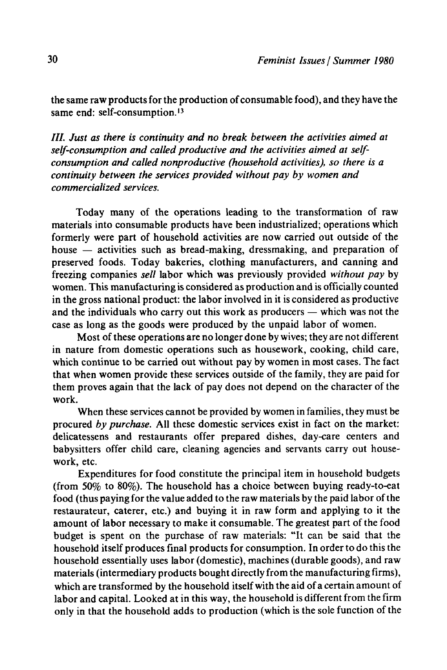the same raw products for the production of consumable food), and they have the same end: self-consumption.<sup>13</sup>

*IlL Just as there is continuity and no break between the activities aimed at self-consumption and called productive and the activities aimed at selfconsumption and called nonproductive (household activities), so there is a continuity between the services provided without pay by women and commercialized services.* 

Today many of the operations leading to the transformation of raw materials into consumable products have been industrialized; operations which formerly were part of household activities are now carried out outside of the house -- activities such as bread-making, dressmaking, and preparation of preserved foods. Today bakeries, clothing manufacturers, and canning and freezing companies *sell* labor which was previously provided *without pay* by women. This manufacturing is considered as production and is officially counted in the gross national product: the labor involved in it is considered as productive and the individuals who carry out this work as producers  $-$  which was not the case as long as the goods were produced by the unpaid labor of women.

Most of these operations are no longer done by wives; they are not different in nature from domestic operations such as housework, cooking, child care, which continue to be carried out without pay by women in most cases. The fact that when women provide these services outside of the family, they are paid for them proves again that the lack of pay does not depend on the character of the work.

When these services cannot be provided by women in families, they must be procured *by purchase.* All these domestic services exist in fact on the market: delicatessens and restaurants offer prepared dishes, day-care centers and babysitters offer child care, cleaning agencies and servants carry out housework, etc.

Expenditures for food constitute the principal item in household budgets (from 50% to 80%). The household has a choice between buying ready-to-eat food (thus paying for the value added to the raw materials by the paid labor of the restaurateur, caterer, etc.) and buying it in raw form and applying to it the amount of labor necessary to make it consumable. The greatest part of the food budget is spent on the purchase of raw materials: "It can be said that the household itself produces final products for consumption. In order to do this the household essentially uses labor (domestic), machines (durable goods), and raw materials (intermediary products bought directly from the manufacturing firms), which are transformed by the household itself with the aid of a certain amount of labor and capital. Looked at in this way, the household is different from the firm only in that the household adds to production (which is the sole function of the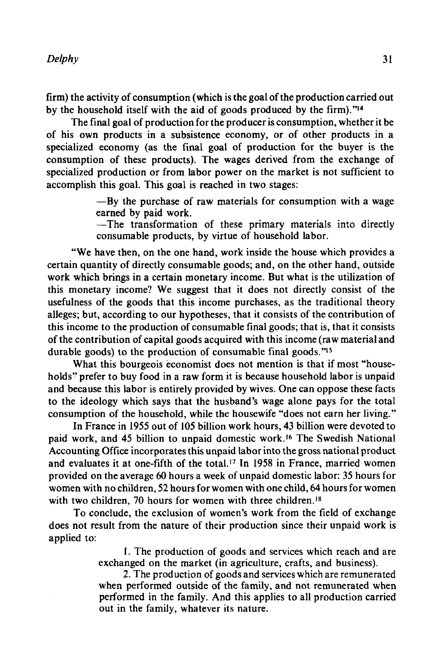firm) the activity of consumption (which is the goal of the production carried out by the household itself with the aid of goods produced by the firm). $1/14$ 

The final goal of production for the producer is consumption, whether it be of his own products in a subsistence economy, or of other Products in a specialized economy (as the final goal of production for the buyer is the consumption of these products). The wages derived from the exchange of specialized production or from labor power on the market is not sufficient to accomplish this goal. This goal is reached in two stages:

> $-By$  the purchase of raw materials for consumption with a wage earned by paid work.

> --The transformation of these primary materials into directly consumable products, by virtue of household labor.

"We have then, on the one hand, work inside the house which provides a certain quantity of directly consumable goods; and, on the other hand, outside work which brings in a certain monetary income. But what is the utilization of this monetary income? We suggest that it does not directly consist of the usefulness of the goods that this income purchases, as the traditional theory alleges; but, according to our hypotheses, that it consists of the contribution of this income to the production of consumable final goods; that is, that it consists of the contribution of capital goods acquired with this income (raw material and durable goods) to the production of consumable final goods."<sup>15</sup>

What this bourgeois economist does not mention is that if most "households" prefer to buy food in a raw form it is because household labor is unpaid and because this labor is entirely provided by wives. One can oppose these facts to the ideology which says that the husband's wage alone pays for the total consumption of the household, while the housewife "does not earn her living."

In France in 1955 out of 105 billion work hours, 43 billion were devoted to paid work, and 45 billion to unpaid domestic work.<sup>16</sup> The Swedish National Accounting Office incorporates this unpaid labor into the gross national product and evaluates it at one-fifth of the total.<sup>17</sup> In 1958 in France, married women provided on the average 60 hours a week of unpaid domestic labor: 35 hours for women with no children, 52 hours for women with one child, 64 hours for women with two children, 70 hours for women with three children.<sup>18</sup>

To conclude, the exclusion of women's work from the field of exchange does not result from the nature of their production since their unpaid work is applied to:

> 1. The production of goods and services which reach and are exchanged on the market (in agriculture, crafts, and business).

> 2. The production of goods and services which are remunerated when performed outside of the family, and not remunerated when performed in the family. And this applies to all production carried out in the family, whatever its nature.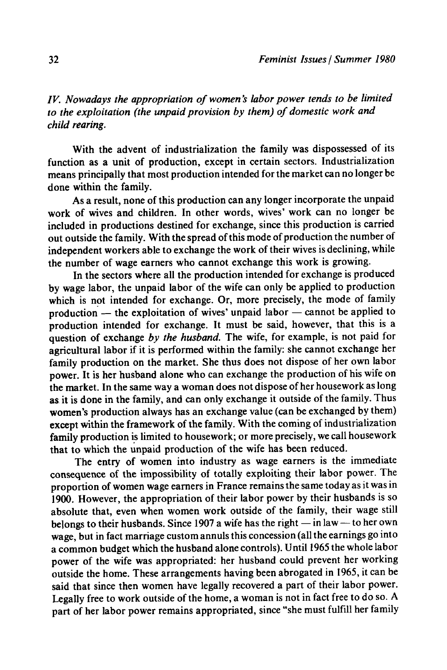*IV. Nowadays the appropriation of women's labor power tends to be limited to the exploitation (the unpaid provision by them) of domestic work and child rearing.* 

With the advent of industrialization the family was dispossessed of its function as a unit of production, except in certain sectors. Industrialization means principally that most production intended for the market can no longer be done within the family.

As a result, none of this production can any longer incorporate the unpaid work of wives and children. In other words, wives' work can no longer be included in productions destined for exchange, since this production is carried out outside the family. With the spread of this mode of production the number of independent workers able to exchange the work of their wives is declining, while the number of wage earners who cannot exchange this work is growing.

In the sectors where all the production intended for exchange is produced by wage labor, the unpaid labor of the wife can only be applied to production which is not intended for exchange. Or, more precisely, the mode of family production  $-$  the exploitation of wives' unpaid labor  $-$  cannot be applied to production intended for exchange. It must be said, however, that this is a question of exchange *by the husband*. The wife, for example, is not paid for agricultural labor if it is performed within the family: she cannot exchange her family production on the market. She thus does not dispose of her own labor power. It is her husband alone who can exchange the production of his wife on the market. In the same way a woman does not dispose of her housework as long as it is done in the family, and can only exchange it outside of the family. Thus women's production always has an exchange value (can be exchanged by them) except within the framework of the family. With the coming of industrialization family production is limited to housework; or more precisely, we call housework that to which the unpaid production of the wife has been reduced.

The entry of women into industry as wage earners is the immediate consequence of the impossibility of totally exploiting their labor power. The proportion of women wage earners in France remains the same today as it was in 1900. However, the appropriation of their labor power by their husbands is so absolute that, even when women work outside of the family, their wage still belongs to their husbands. Since 1907 a wife has the right  $-$  in law  $-$  to her own wage, but in fact marriage custom annuls this concession (all the earnings go into a common budget which the husband alone controls). Until 1965 the whole labor power of the wife was appropriated: her husband could prevent her working outside the home. These arrangements having been abrogated in 1965, it can be said that since then women have legally recovered a part of their labor power. Legally free to work outside of the home, a woman is not in fact free to do so. A part of her labor power remains appropriated, since "she must fulfill her family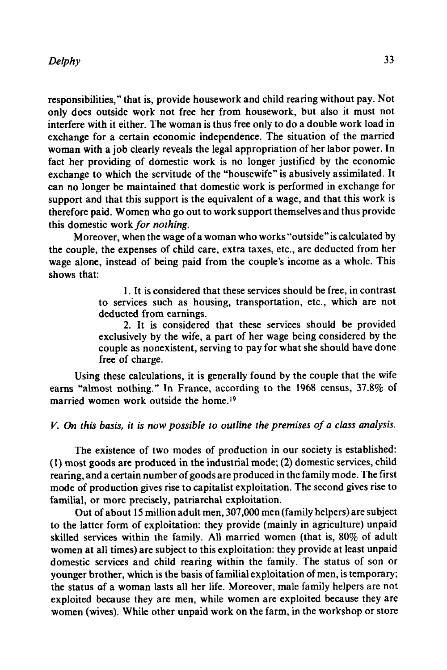responsibilities," that is, provide housework and child rearing without pay. Not only does outside work not free her from housework, but also it must not interfere with it either. The woman is thus free only to do a double work load in exchange for a certain economic independence. The situation of the married woman with a job clearly reveals the legal appropriation of her labor power. In fact her providing of domestic work is no longer justified by the economic exchange to which the servitude of the "housewife" is abusively assimilated. It can no longer be maintained that domestic work is performed in exchange for support and that this support is the equivalent of a wage, and that this work is therefore paid. Women who go out to work support themselves and thus provide this domestic *work for nothing.* 

Moreover, when the wage of a woman who works "outside" is calculated by the couple, the expenses of child care, extra taxes, etc., are deducted from her wage alone, instead of being paid from the couple's income as a whole. This shows that:

> 1. It is considered that these services should be free, in contrast to services such as housing, transportation, etc., which are not deducted from earnings.

> 2. It is considered that these services should be provided exclusively by the wife, a part of her wage being considered by the couple as nonexistent, serving to pay for what she should have done free of charge.

Using these calculations, it is generally found by the couple that the wife earns "almost nothing." In France, according to the 1968 census, 37.8% of married women work outside the home. 19

*V. On this basis, it is now possible to outline the premises of a class analysis.* 

The existence of two modes of production in our society is established: (1) most goods are produced in the industrial mode; (2) domestic services, child rearing, and a certain number of goods are produced in the family mode. The first mode of production gives rise to capitalist exploitation. The second gives rise to familial, or more precisely, patriarchal exploitation.

Out of about 15 million adult men, 307,000 men (family helpers) are subject to the latter form of exploitation: they provide (mainly in agriculture) unpaid skilled services within the family. All married women (that is, 80% of adult women at all times) are subject to this exploitation: they provide at least unpaid domestic services and child rearing within the family. The status of son or younger brother, which is the basis of familial exploitation of men, is temporary; the status of a woman lasts all her life. Moreover, male family helpers are not exploited because they are men, while women are exploited because they are women (wives). While other unpaid work on the farm, in the workshop or store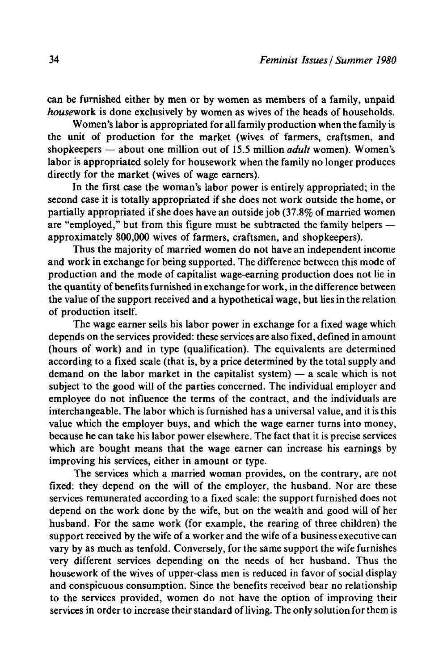can be furnished either by men or by women as members of a family, unpaid *housework* is done exclusively by women as wives of the heads of households.

Women's labor is appropriated for all family production when the family is the unit of production for the market (wives of farmers, craftsmen, and shopkeepers -- about one million out of 15.5 million *adult* women). Women's labor is appropriated solely for housework when the family no longer produces directly for the market (wives of wage earners).

In the first case the woman's labor power is entirely appropriated; in the second case it is totally appropriated if she does not work outside the home, or partially appropriated if she does have an outside job (37.8% of married women are "employed," but from this figure must be subtracted the family helpers  $$ approximately 800,000 wives of farmers, craftsmen, and shopkeepers).

Thus the majority of married women do not have an independent income and work in exchange for being supported. The difference between this mode of production and the mode of capitalist wage-earning production does not lie in the quantity of benefits furnished in exchange for work, in the difference between the value of the support received and a hypothetical wage, but lies in the relation of production itself.

The wage earner sells his labor power in exchange for a fixed wage which depends on the services provided: these services are also fixed, defined in amount (hours of work) and in type (qualification). The equivalents are determined according to a fixed scale (that is, by a price determined by the total supply and demand on the labor market in the capitalist system)  $-$  a scale which is not subject to the good will of the parties concerned. The individual employer and employee do not influence the terms of the contract, and the individuals are interchangeable. The labor which is furnished has a universal value, and it is this value which the employer buys, and which the wage earner turns into money, because he can take his labor power elsewhere. The fact that it is precise services which are bought means that the wage earner can increase his earnings by improving his services, either in amount or type.

The services which a married woman provides, on the contrary, are not fixed: they depend on the will of the employer, the husband. Nor are these services remunerated according to a fixed scale: the support furnished does not depend on the work done by the wife, but on the wealth and good will of her husband. For the same work (for example, the rearing of three children) the support received by the wife of a worker and the wife of a business executive can vary by as much as tenfold. Conversely, for the same support the wife furnishes very different services depending on the needs of her husband. Thus the housework of the wives of upper-class men is reduced in favor of social display and conspicuous consumption. Since the benefits received bear no relationship to the services provided, women do not have the option of improving their services in order to increase their standard of living. The only solution for them is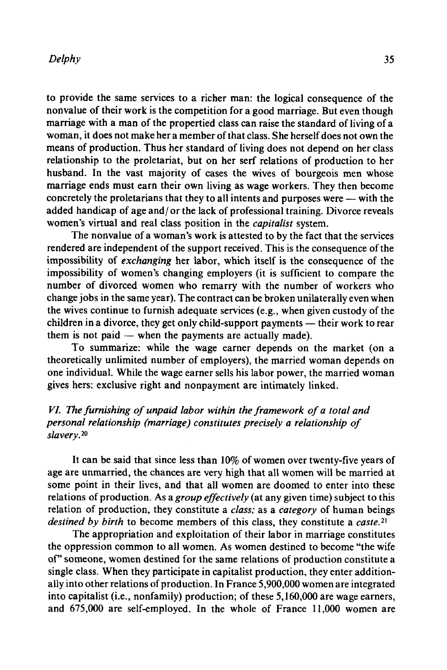#### *Delphy* 35

to provide the same services to a richer man: the logical consequence of the nonvalue of their work is the competition for a good marriage. But even though marriage with a man of the propertied class can raise the standard of living of a woman, it does not make her a member of that class. She herself does not own the means of production. Thus her standard of living does not depend on her class relationship to the proletariat, but on her serf relations of production to her husband. In the vast majority of cases the wives of bourgeois men whose marriage ends must earn their own living as wage workers. They then become concretely the proletarians that they to all intents and purposes were  $-$  with the added handicap of age and/or the lack of professional training. Divorce reveals women's virtual and real class position in the *capitalist* system.

The nonvalue of a woman's work is attested to by the fact that the services rendered are independent of the support received. This is the consequence of the impossibility of *exchanging* her labor, which itself is the consequence of the impossibility of women's changing employers (it is sufficient to compare the number of divorced women who remarry with the number of workers who change jobs in the same year). The contract can be broken unilaterally even when the wives continue to furnish adequate services (e.g., when given custody of the children in a divorce, they get only child-support payments  $-$  their work to rear them is not paid  $-$  when the payments are actually made).

To summarize: while the wage earner depends on the market (on a theoretically unlimited number of employers), the married woman depends on one individual. While the wage earner sells his labor power, the married woman gives hers: exclusive right and nonpayment are intimately linked.

## *VI. The furnishing of unpaid labor within the framework of a total and personal relationship (marriage) constitutes precisely a relationship of slavery. 2o*

It can be said that since less than 10% of women over twenty-five years of age are unmarried, the chances are very high that all women will be married at some point in their lives, and that all women are doomed to enter into these relations of production. As a *group effectively* (at any given time) subject to this relation of production, they constitute a *class;* as a *category* of human beings *destined by birth* to become members of this class, they constitute a *caste*.<sup>21</sup>

The appropriation and exploitation of their labor in marriage constitutes the oppression common to all women. As women destined to become "the wife of" someone, women destined for the same relations of production constitute a single class. When they participate in capitalist production, they enter additionally into other relations of production. In France 5,900,000 women are integrated into capitalist (i.e., nonfamily) production; of these 5,160,000 are wage earners, and 675,000 are self-employed. In the whole of France 11,000 women are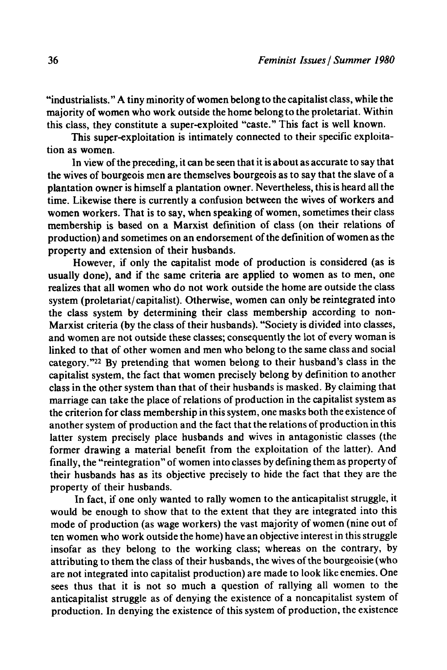"industrialists." A tiny minority of women belong to the capitalist class, while the majority of women who work outside the home belong to the proletariat. Within this class, they constitute a super-exploited "caste." This fact is well known.

This super-exploitation is intimately connected to their specific exploitation as women.

In view of the preceding, it can be seen that it is about as accurate to say that the wives of bourgeois men are themselves bourgeois as to say that the slave of a plantation owner is himself a plantation owner. Nevertheless, this is heard all the time. Likewise there is currently a confusion between the wives of workers and women workers. That is to say, when speaking of women, sometimes their class membership is based on a Marxist definition of class (on their relations of production) and sometimes on an endorsement of the definition of women as the property and extension of their husbands.

However, if only the capitalist mode of production is considered (as is usually done), and if the same criteria are applied to women as to men, one realizes that all women who do not work outside the home are outside the class system (proletariat/capitalist). Otherwise, women can only be reintegrated into the class system by determining their class membership according to non-Marxist criteria (by the class of their husbands). "Society is divided into classes, and women are not outside these classes; consequently the lot of every woman is linked to that of other women and men who belong to the same class and social category. "22 By pretending that women belong to their husband's class in the capitalist system, the fact that women precisely belong by definition to another class in the other system than that of their husbands is masked. By claiming that marriage can take the place of relations of production in the capitalist system as the criterion for class membership in this system, one masks both the existence of another system of production and the fact that the relations of production in this latter system precisely place husbands and wives in antagonistic classes (the former drawing a material benefit from the exploitation of the latter). And finally, the "reintegration" of women into classes by defining them as property of their husbands has as its objective precisely to hide the fact that they are the property of their husbands.

In fact, if one only wanted to rally women to the anticapitalist struggle, it would be enough to show that to the extent that they are integrated into this mode of production (as wage workers) the vast majority of women (nine out of ten women who work outside the home) have an objective interest in this struggle insofar as they belong to the working class; whereas on the contrary, by attributing to them the class of their husbands, the wives of the bourgeoisie (who are not integrated into capitalist production) are made to look like enemies. One sees thus that it is not so much a question of rallying all women to the anticapitalist struggle as of denying the existence of a noncapitalist system of production. In denying the existence of this system of production, the existence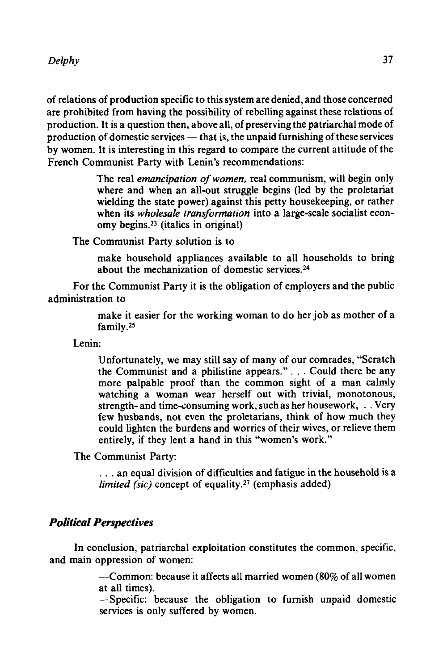of relations of production specific to this system are denied, and those concerned are prohibited from having the possibility of rebelling against these relations of production. It is a question then, above all, of preserving the patriarchal mode of production of domestic services  $-$  that is, the unpaid furnishing of these services by women. It is interesting in this regard to compare the current attitude of the French Communist Party with Lenin's recommendations:

> The real *emancipation of women,* real communism, will begin only where and when an all-out struggle begins (led by the proletariat wielding the state power) against this petty housekeeping, or rather when its *wholesale transformation* into a large-scale socialist economy begins. 23 (italics in original)

The Communist Party solution is to

make household appliances available to all households to bring about the mechanization of domestic services. 24

For the Communist Party it is the obligation of employers and the public administration to

> make it easier for the working woman to do her job as mother of a family. 25

Lenin:

Unfortunately, we may still say of many of our comrades, "Scratch the Communist and a philistine appears."... Could there be any more palpable proof than the common sight of a man calmly watching a woman wear herself out with trivial, monotonous, strength- and time-consuming work, such as her housework, .. Very few husbands, not even the proletarians, think of how much they could lighten the burdens and worries of their wives, or relieve them entirely, if they lent a hand in this "women's work."

The Communist Party:

... an equal division of difficulties and fatigue in the household is a *limited (sic)* concept of equality.<sup>27</sup> (emphasis added)

### *Political Perspectives*

In conclusion, patriarchal exploitation constitutes the common, specific, and main oppression of women:

> --Common: because it affects all married women (80% of all women at all times).

> --Specific: because the obligation to furnish unpaid domestic services is only suffered by women.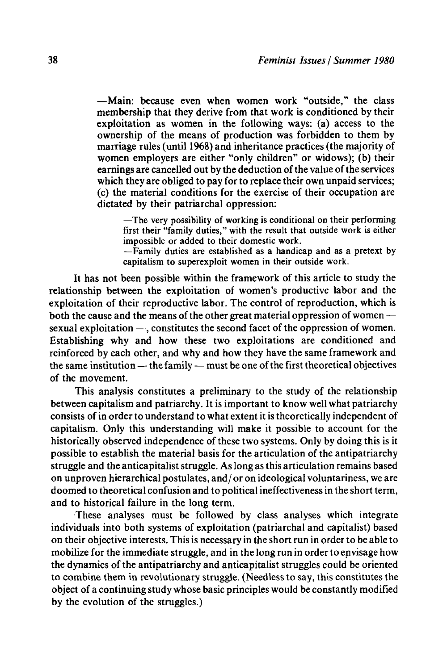-Main: because even when women work "outside," the class membership that they derive from that work is conditioned by their exploitation as women in the following ways: (a) access to the ownership of the means of production was forbidden to them by marriage rules (until 1968) and inheritance practices (the majority of women employers are either "only children" or widows); (b) their earnings are cancelled out by the deduction of the value of the services which they are obliged to pay for to replace their own unpaid services; (c) the material conditions for the exercise of their occupation are dictated by their patriarchal oppression:

 $-$ The very possibility of working is conditional on their performing first their "family duties," with the result that outside work is either impossible or added to their domestic work.

-Family duties are established as a handicap and as a pretext by capitalism to superexploit women in their outside work.

It has not been possible within the framework of this article to study the relationship between the exploitation of women's productive labor and the exploitation of their reproductive labor. The control of reproduction, which is both the cause and the means of the other great material oppression of women  $$ sexual exploitation  $-$ , constitutes the second facet of the oppression of women. Establishing why and how these two exploitations are conditioned and reinforced by each other, and why and how they have the same framework and the same institution  $-$  the family  $-$  must be one of the first theoretical objectives of the movement.

This analysis constitutes a preliminary to the study of the relationship between capitalism and patriarchy. It is important to know well what patriarchy consists of in order to understand to what extent it is theoretically independent of capitalism. Only this understanding will make it possible to account for the historically observed independence of these two systems. Only by doing this is it possible to establish the material basis for the articulation of the antipatriarchy struggle and the anticapitalist struggle. As long as this articulation remains based on unproven hierarchical postulates, and/or on ideological voluntariness, we are doomed to theoretical confusion and to political ineffectiveness in the short term, and to historical failure in the long term.

• These analyses must be followed by class analyses which integrate individuals into both systems of exploitation (patriarchal and capitalist) based on their objective interests. This is necessary in the short run in order to be able to mobilize for the immediate struggle, and in the long run in order to envisage how the dynamics of the antipatriarchy and anticapitalist struggles could be oriented to combine them in revolutionary struggle. (Needless to say, this constitutes the object of a continuing study whose basic principles would be constantly modified by the evolution of the struggles.)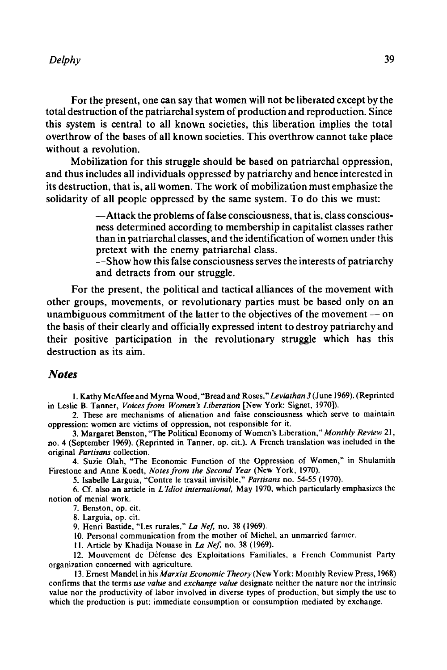## *Delphy* 39

**For the present, one can say that women will not be liberated except by the total destruction of the patriarchal system of production and reproduction. Since this system is central to all known societies, this liberation implies the total overthrow of the bases of all known societies. This overthrow cannot take place without a revolution.** 

**Mobilization for this struggle should be based on patriarchal oppression, and thus includes all individuals oppressed by patriarchy and hence interested in its destruction, that is, all women. The work of mobilization must emphasize the solidarity of all people oppressed by the same system. To do this we must:** 

> **--Attack the problems of false consciousness, that is, class consciousness determined according to membership in capitalist classes rather than in patriarchal classes, and the identification of women under this pretext with the enemy patriarchal class.**

> **--Show how this false consciousness serves the interests of patriarchy and detracts from our struggle.**

**For the present, the political and tactical alliances of the movement with other groups, movements, or revolutionary parties must be based only on an unambiguous commitment of the latter to the objectives of the movement -- on the basis of their clearly and officially expressed intent to destroy patriarchy and their positive participation in the revolutionary struggle which has this destruction as its aim.** 

#### *Notes*

1. Kathy McAffee and Myrna Wood, "Bread and Roses," *Leviathan 3* (June 1969). (Reprinted in Leslie B. Tanner, *Voices from Women's Liberation* [New York: Signet, 1970]).

2. These are mechanisms of alienation **and false consciousness which** serve to maintain oppression: women are victims of oppression, not responsible for it.

3. Margaret Benston, "The Political Economy of Women's Liberation," *Monthly Review* 21, no. 4 (September 1969). (Reprinted in Tanner, op. cit.). A French translation was included in the original *Partisans* collection.

4. Suzie Olah, "The Economic Function of the Oppression of Women," in Shulamith Firestone and Anne Koedt, *Notes from the Second Year* (New York, 1970).

5. Isabelle Larguia, "Contre le travail invisible," *Partisans* no. 54-55 (1970).

6. Cf. also an article in *L'ldiot international,* May 1970, **which particularly emphasizes the**  notion of menial work.

7. Benston, op. cit.

8. Larguia, op. cir.

9. Henri Bastide, "Les rurales," La *Nef* no. 38 (1969).

10. Personal communication from the mother of Michel, an unmarried farmer.

11. Article **by Khadija** Nouase in La *Nef,* no. 38 (1969).

12. Mouvement de Défense des Exploitations Familiales, a French Communist Party organization concerned with agriculture.

13. Ernest Mandel in his *Marxist Economic Theory* (New York: Monthly Review Press, 1968) confirms **that the** terms use *value* and *exchange value* designate neither the nature nor the intrinsic value nor the productivity of labor involved in diverse types of production, **but simply the** use to **which the** production is put: immediate consumption or consumption mediated by exchange.